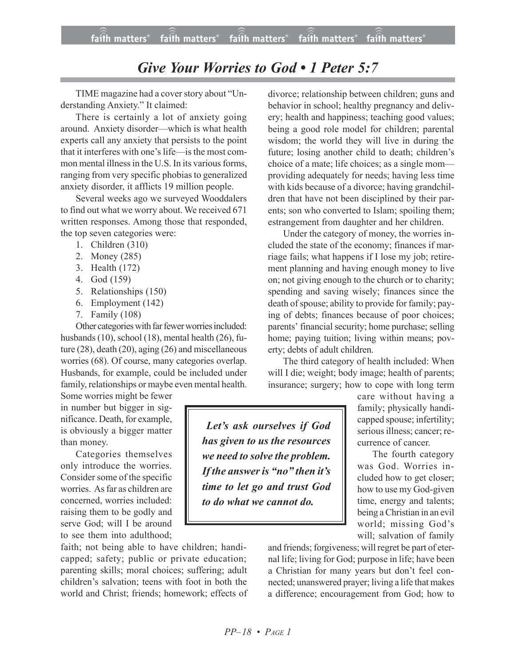## *Give Your Worries to God • 1 Peter 5:7*

TIME magazine had a cover story about "Understanding Anxiety." It claimed:

There is certainly a lot of anxiety going around. Anxiety disorder—which is what health experts call any anxiety that persists to the point that it interferes with one's life—is the most common mental illness in the U.S. In its various forms, ranging from very specific phobiasto generalized anxiety disorder, it afflicts 19 million people.

Several weeks ago we surveyed Wooddalers to find out what we worry about. We received 671 written responses. Among those that responded, the top seven categories were:

- 1. Children (310)
- 2. Money (285)
- 3. Health (172)
- 4. God (159)
- 5. Relationships (150)
- 6. Employment (142)
- 7. Family (108)

Other categories with far fewer worries included: husbands (10), school (18), mental health (26), future (28), death (20), aging (26) and miscellaneous worries (68). Of course, many categories overlap. Husbands, for example, could be included under family, relationships or maybe even mental health.

Some worries might be fewer in number but bigger in significance. Death, for example, is obviously a bigger matter than money.

Categories themselves only introduce the worries. Consider some of the specific worries. As far as children are concerned, worries included: raising them to be godly and serve God; will I be around to see them into adulthood;

faith; not being able to have children; handicapped; safety; public or private education; parenting skills; moral choices; suffering; adult children's salvation; teens with foot in both the world and Christ; friends; homework; effects of divorce; relationship between children; guns and behavior in school; healthy pregnancy and delivery; health and happiness; teaching good values; being a good role model for children; parental wisdom; the world they will live in during the future; losing another child to death; children's choice of a mate; life choices; as a single mom providing adequately for needs; having less time with kids because of a divorce; having grandchildren that have not been disciplined by their parents; son who converted to Islam; spoiling them; estrangement from daughter and her children.

Under the category of money, the worries included the state of the economy; finances if marriage fails; what happens if I lose my job; retirement planning and having enough money to live on; not giving enough to the church or to charity; spending and saving wisely; finances since the death of spouse; ability to provide for family; paying of debts; finances because of poor choices; parents' financial security; home purchase; selling home; paying tuition; living within means; poverty; debts of adult children.

The third category of health included: When will I die; weight; body image; health of parents; insurance; surgery; how to cope with long term

care without having a family; physically handicapped spouse; infertility; serious illness; cancer; recurrence of cancer.

The fourth category was God. Worries included how to get closer; how to use my God-given time, energy and talents; being a Christian in an evil world; missing God's will; salvation of family

*Let's ask ourselves if God has given to us the resources we need to solve the problem. If the answer is "no" then it's time to let go and trust God to do what we cannot do.*

> and friends; forgiveness; will regret be part of eternal life; living for God; purpose in life; have been a Christian for many years but don't feel connected; unanswered prayer; living a life that makes a difference; encouragement from God; how to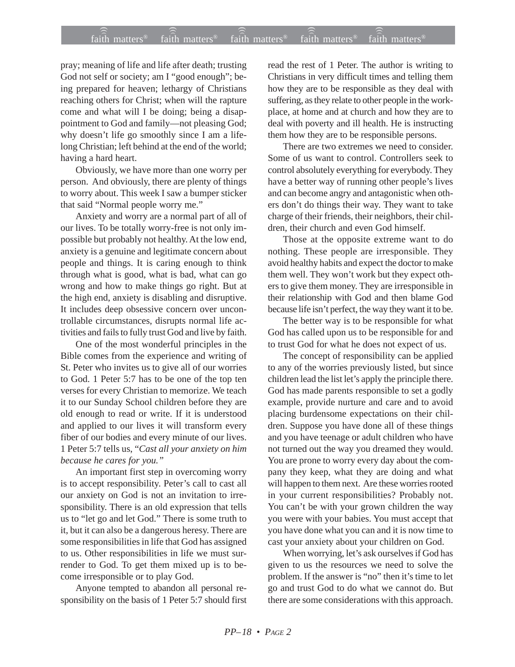## faith matters® faith matters® faith matters® faith matters® faith matters® ))) ))) ))) faith matters® faith matters® faith matters<sup>®</sup>

pray; meaning of life and life after death; trusting God not self or society; am I "good enough"; being prepared for heaven; lethargy of Christians reaching others for Christ; when will the rapture come and what will I be doing; being a disappointment to God and family—not pleasing God; why doesn't life go smoothly since I am a lifelong Christian; left behind at the end of the world; having a hard heart.

Obviously, we have more than one worry per person. And obviously, there are plenty of things to worry about. This week I saw a bumper sticker that said "Normal people worry me."

Anxiety and worry are a normal part of all of our lives. To be totally worry-free is not only impossible but probably not healthy. At the low end, anxiety is a genuine and legitimate concern about people and things. It is caring enough to think through what is good, what is bad, what can go wrong and how to make things go right. But at the high end, anxiety is disabling and disruptive. It includes deep obsessive concern over uncontrollable circumstances, disrupts normal life activities and fails to fully trust God and live by faith.

One of the most wonderful principles in the Bible comes from the experience and writing of St. Peter who invites us to give all of our worries to God. 1 Peter 5:7 has to be one of the top ten verses for every Christian to memorize. We teach it to our Sunday School children before they are old enough to read or write. If it is understood and applied to our lives it will transform every fiber of our bodies and every minute of our lives. 1 Peter 5:7 tells us, "*Cast all your anxiety on him because he cares for you."*

An important first step in overcoming worry is to accept responsibility. Peter's call to cast all our anxiety on God is not an invitation to irresponsibility. There is an old expression that tells us to "let go and let God." There is some truth to it, but it can also be a dangerous heresy. There are some responsibilities in life that God has assigned to us. Other responsibilities in life we must surrender to God. To get them mixed up is to become irresponsible or to play God.

Anyone tempted to abandon all personal responsibility on the basis of 1 Peter 5:7 should first read the rest of 1 Peter. The author is writing to Christians in very difficult times and telling them how they are to be responsible as they deal with suffering, as they relate to other people in the workplace, at home and at church and how they are to deal with poverty and ill health. He is instructing them how they are to be responsible persons.

There are two extremes we need to consider. Some of us want to control. Controllers seek to control absolutely everything for everybody. They have a better way of running other people's lives and can become angry and antagonistic when others don't do things their way. They want to take charge of their friends, their neighbors, their children, their church and even God himself.

Those at the opposite extreme want to do nothing. These people are irresponsible. They avoid healthy habits and expect the doctor to make them well. They won't work but they expect others to give them money. They are irresponsible in their relationship with God and then blame God because life isn't perfect, the way they want it to be.

The better way is to be responsible for what God has called upon us to be responsible for and to trust God for what he does not expect of us.

The concept of responsibility can be applied to any of the worries previously listed, but since children lead the list let's apply the principle there. God has made parents responsible to set a godly example, provide nurture and care and to avoid placing burdensome expectations on their children. Suppose you have done all of these things and you have teenage or adult children who have not turned out the way you dreamed they would. You are prone to worry every day about the company they keep, what they are doing and what will happen to them next. Are these worries rooted in your current responsibilities? Probably not. You can't be with your grown children the way you were with your babies. You must accept that you have done what you can and it is now time to cast your anxiety about your children on God.

When worrying, let's ask ourselves if God has given to us the resources we need to solve the problem. If the answer is "no" then it's time to let go and trust God to do what we cannot do. But there are some considerations with this approach.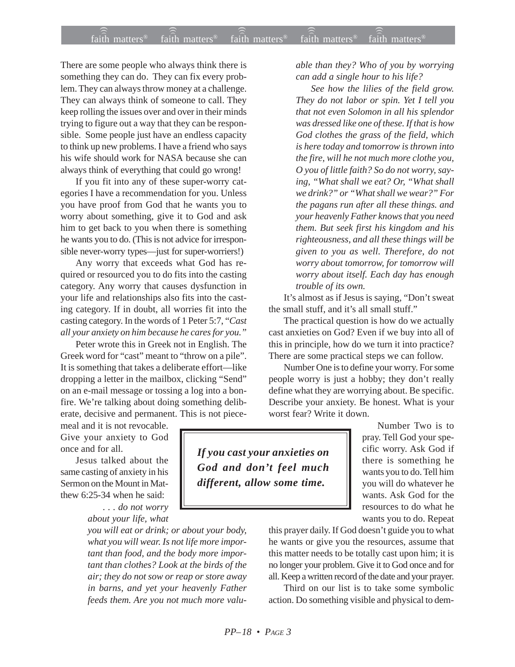There are some people who always think there is something they can do. They can fix every problem. They can always throw money at a challenge. They can always think of someone to call. They keep rolling the issues over and over in their minds trying to figure out a way that they can be responsible. Some people just have an endless capacity to think up new problems. I have a friend who says his wife should work for NASA because she can always think of everything that could go wrong!

If you fit into any of these super-worry categories I have a recommendation for you. Unless you have proof from God that he wants you to worry about something, give it to God and ask him to get back to you when there is something he wants you to do. (This is not advice for irresponsible never-worry types—just for super-worriers!)

Any worry that exceeds what God has required or resourced you to do fits into the casting category. Any worry that causes dysfunction in your life and relationships also fits into the casting category. If in doubt, all worries fit into the casting category. In the words of 1 Peter 5:7, "*Cast all your anxiety on him because he cares for you."*

Peter wrote this in Greek not in English. The Greek word for "cast" meant to "throw on a pile". It is something that takes a deliberate effort—like dropping a letter in the mailbox, clicking "Send" on an e-mail message or tossing a log into a bonfire. We're talking about doing something deliberate, decisive and permanent. This is not piece-

meal and it is not revocable. Give your anxiety to God once and for all.

Jesus talked about the same casting of anxiety in his Sermon on the Mount in Matthew 6:25-34 when he said:

*. . . do not worry about your life, what*

*you will eat or drink; or about your body, what you will wear. Is not life more important than food, and the body more important than clothes? Look at the birds of the air; they do not sow or reap or store away in barns, and yet your heavenly Father feeds them. Are you not much more valu-* *able than they? Who of you by worrying can add a single hour to his life?*

*See how the lilies of the field grow. They do not labor or spin. Yet I tell you that not even Solomon in all his splendor was dressed like one of these. If that is how God clothes the grass of the field, which is here today and tomorrow is thrown into the fire, will he not much more clothe you, O you of little faith? So do not worry, saying, "What shall we eat? Or, "What shall we drink?" or "What shall we wear?" For the pagans run after all these things. and your heavenly Father knows that you need them. But seek first his kingdom and his righteousness, and all these things will be given to you as well. Therefore, do not worry about tomorrow, for tomorrow will worry about itself. Each day has enough trouble of its own.*

It's almost as if Jesus is saying, "Don't sweat the small stuff, and it's all small stuff."

The practical question is how do we actually cast anxieties on God? Even if we buy into all of this in principle, how do we turn it into practice? There are some practical steps we can follow.

Number One is to define your worry. For some people worry is just a hobby; they don't really define what they are worrying about. Be specific. Describe your anxiety. Be honest. What is your worst fear? Write it down.

*If you cast your anxieties on God and don't feel much different, allow some time.*

Number Two is to pray. Tell God your specific worry. Ask God if there is something he wants you to do. Tell him you will do whatever he wants. Ask God for the resources to do what he wants you to do. Repeat

this prayer daily. If God doesn't guide you to what he wants or give you the resources, assume that this matter needs to be totally cast upon him; it is no longer your problem. Give it to God once and for all. Keep a written record of the date and your prayer.

Third on our list is to take some symbolic action. Do something visible and physical to dem-